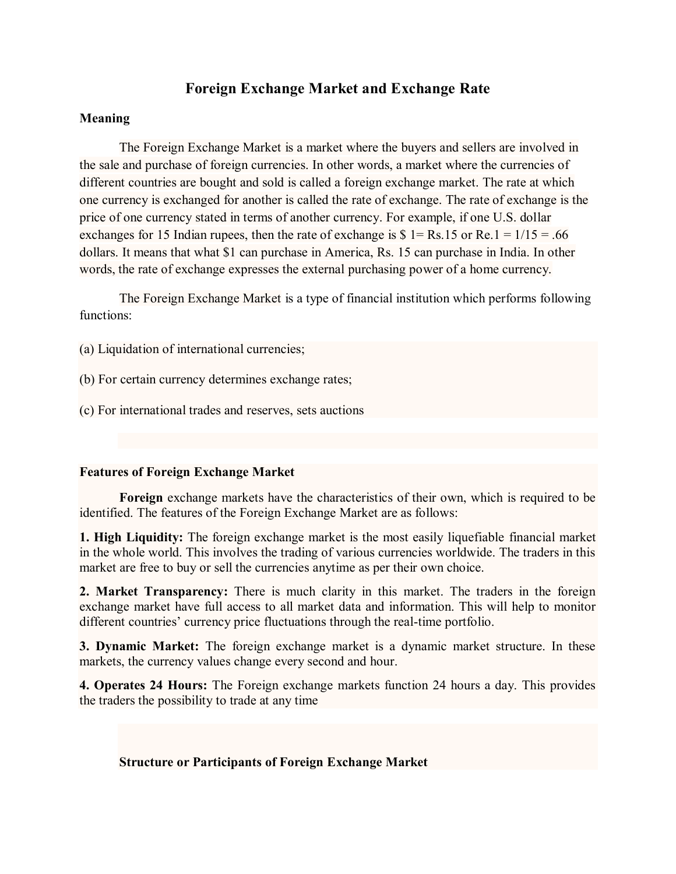# **Foreign Exchange Market and Exchange Rate**

### **Meaning**

The Foreign Exchange Market is a market where the buyers and sellers are involved in the sale and purchase of foreign currencies. In other words, a market where the currencies of different countries are bought and sold is called a foreign exchange market. The rate at which one currency is exchanged for another is called the rate of exchange. The rate of exchange is the price of one currency stated in terms of another currency. For example, if one U.S. dollar exchanges for 15 Indian rupees, then the rate of exchange is  $\$\;1 = \text{Rs}.15$  or Re.1 = 1/15 = .66 dollars. It means that what \$1 can purchase in America, Rs. 15 can purchase in India. In other words, the rate of exchange expresses the external purchasing power of a home currency.

The Foreign Exchange Market is a type of financial institution which performs following functions:

- (a) Liquidation of international currencies;
- (b) For certain currency determines exchange rates;
- (c) For international trades and reserves, sets auctions

### **Features of Foreign Exchange Market**

**Foreign** exchange markets have the characteristics of their own, which is required to be identified. The features of the Foreign Exchange Market are as follows:

**1. High Liquidity:** The foreign exchange market is the most easily liquefiable [financial market](https://www.vedantu.com/commerce/financial-market) in the whole world. This involves the trading of various currencies worldwide. The traders in this market are free to buy or sell the currencies anytime as per their own choice.

**2. Market Transparency:** There is much clarity in this market. The traders in the foreign exchange market have full access to all market data and information. This will help to monitor different countries' currency price fluctuations through the real-time portfolio.

**3. Dynamic Market:** The foreign exchange market is a dynamic market structure. In these markets, the currency values change every second and hour.

**4. Operates 24 Hours:** The Foreign exchange markets function 24 hours a day. This provides the traders the possibility to trade at any time

## **Structure or Participants of Foreign Exchange Market**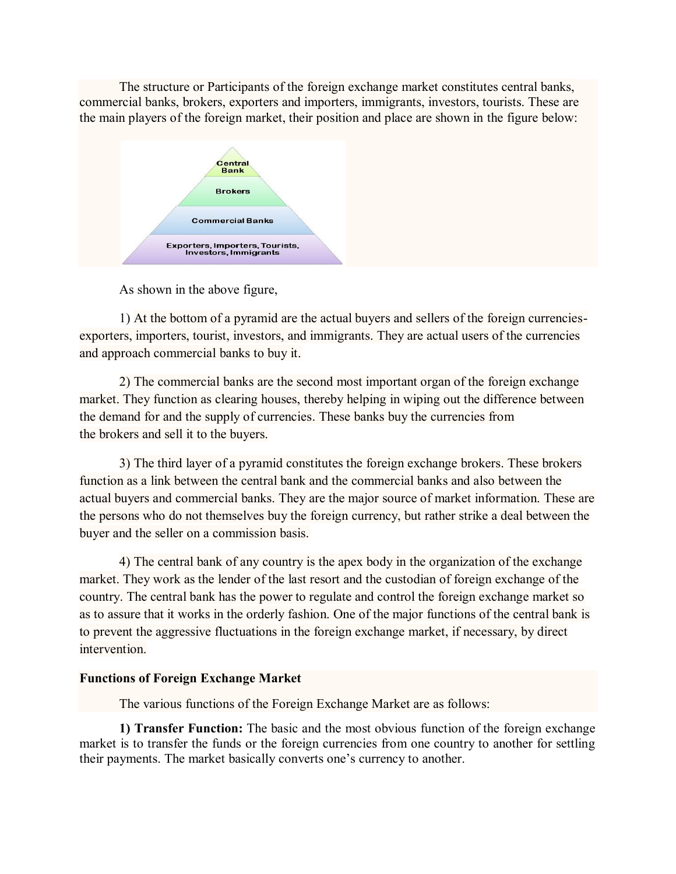The structure or Participants of the foreign exchange market constitutes central banks, commercial banks, brokers, exporters and importers, immigrants, investors, tourists. These are the main players of the foreign market, their position and place are shown in the figure below:



As shown in the above figure,

1) At the bottom of a pyramid are the actual buyers and sellers of the foreign currenciesexporters, importers, tourist, investors, and immigrants. They are actual users of the currencies and approach commercial banks to buy it.

2) The commercial banks are the second most important organ of the foreign exchange market. They function as clearing houses, thereby helping in wiping out the difference between the demand for and the supply of currencies. These banks buy the currencies from the brokers and sell it to the buyers.

3) The third layer of a pyramid constitutes the foreign exchange brokers. These brokers function as a link between the central bank and the commercial banks and also between the actual buyers and commercial banks. They are the major source of market information. These are the persons who do not themselves buy the foreign currency, but rather strike a deal between the buyer and the seller on a commission basis.

4) The central bank of any country is the apex body in the organization of the exchange market. They work as the lender of the last resort and the custodian of foreign exchange of the country. The central bank has the power to regulate and control the foreign exchange market so as to assure that it works in the orderly fashion. One of the major functions of the central bank is to prevent the aggressive fluctuations in the foreign exchange market, if necessary, by direct intervention.

### **Functions of Foreign Exchange Market**

The various functions of the Foreign Exchange Market are as follows:

**1) Transfer Function:** The basic and the most obvious function of the foreign exchange market is to transfer the funds or the foreign currencies from one country to another for settling their payments. The market basically converts one's currency to another.